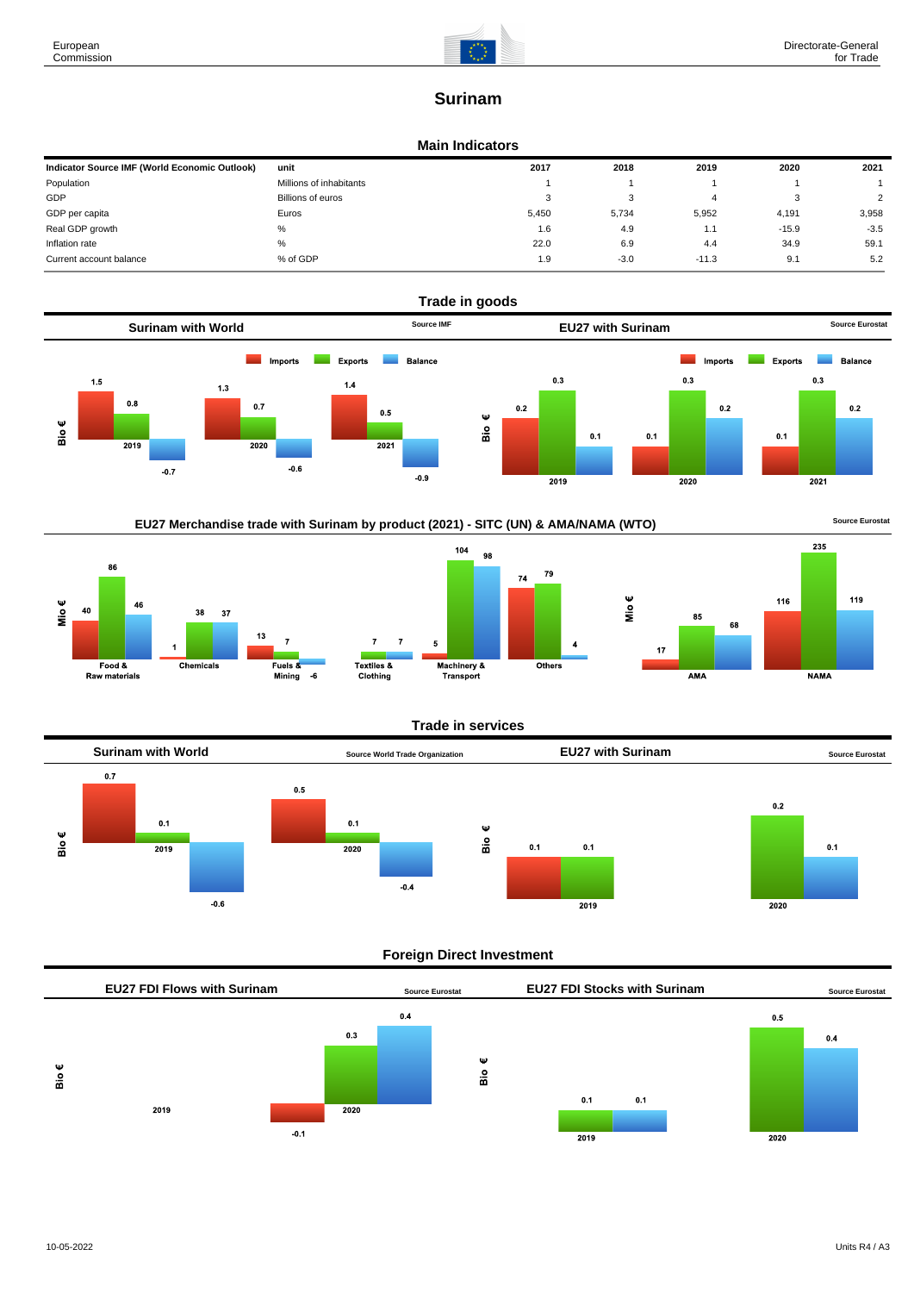

# **Surinam**

### **Main Indicators**

| Indicator Source IMF (World Economic Outlook) | unit                    | 2017  | 2018   | 2019    | 2020    | 2021   |
|-----------------------------------------------|-------------------------|-------|--------|---------|---------|--------|
| Population                                    | Millions of inhabitants |       |        |         |         |        |
| GDP                                           | Billions of euros       | 3     | ົ<br>J |         | - 3     | 2      |
| GDP per capita                                | Euros                   | 5.450 | 5,734  | 5,952   | 4,191   | 3,958  |
| Real GDP growth                               | %                       | 1.6   | 4.9    | 1.1     | $-15.9$ | $-3.5$ |
| Inflation rate                                | $\%$                    | 22.0  | 6.9    | 4.4     | 34.9    | 59.1   |
| Current account balance                       | % of GDP                | 1.9   | $-3.0$ | $-11.3$ | 9.1     | 5.2    |











### **Trade in services**



### **Foreign Direct Investment**